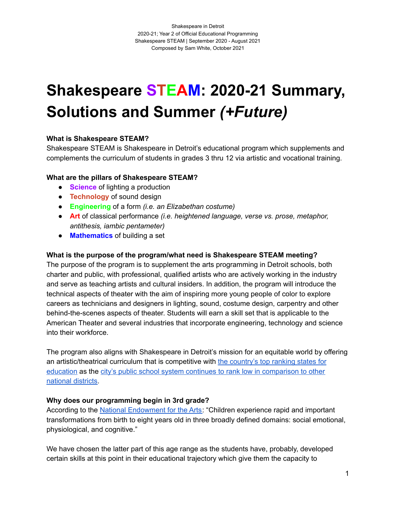# **Shakespeare STEAM: 2020-21 Summary, Solutions and Summer** *(+Future)*

### **What is Shakespeare STEAM?**

Shakespeare STEAM is Shakespeare in Detroit's educational program which supplements and complements the curriculum of students in grades 3 thru 12 via artistic and vocational training.

### **What are the pillars of Shakespeare STEAM?**

- **Science** of lighting a production
- **Technology** of sound design
- **Engineering** of a form *(i.e. an Elizabethan costume)*
- **Art** of classical performance *(i.e. heightened language, verse vs. prose, metaphor, antithesis, iambic pentameter)*
- **Mathematics** of building a set

### **What is the purpose of the program/what need is Shakespeare STEAM meeting?**

The purpose of the program is to supplement the arts programming in Detroit schools, both charter and public, with professional, qualified artists who are actively working in the industry and serve as teaching artists and cultural insiders. In addition, the program will introduce the technical aspects of theater with the aim of inspiring more young people of color to explore careers as technicians and designers in lighting, sound, costume design, carpentry and other behind-the-scenes aspects of theater. Students will earn a skill set that is applicable to the American Theater and several industries that incorporate engineering, technology and science into their workforce.

The program also aligns with Shakespeare in Detroit's mission for an equitable world by offering an artistic/theatrical curriculum that is competitive with the [country's](https://www.usnews.com/news/best-states/rankings/education) top ranking states for [education](https://www.usnews.com/news/best-states/rankings/education) as the city's public school system continues to rank low in [comparison](https://www.publicschoolreview.com/michigan/detroit-public-schools-community-school-district/2601103-school-district) to other [national](https://www.publicschoolreview.com/michigan/detroit-public-schools-community-school-district/2601103-school-district) districts.

### **Why does our programming begin in 3rd grade?**

According to the National [Endowment](https://www.arts.gov/sites/default/files/arts-in-early-childhood-dec2015-rev.pdf) for the Arts: "Children experience rapid and important transformations from birth to eight years old in three broadly defined domains: social emotional, physiological, and cognitive."

We have chosen the latter part of this age range as the students have, probably, developed certain skills at this point in their educational trajectory which give them the capacity to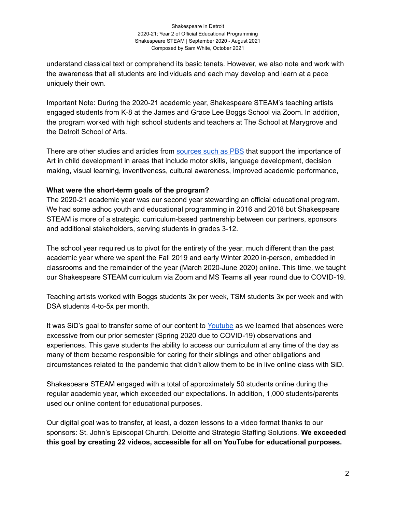### Shakespeare in Detroit 2020-21; Year 2 of Official Educational Programming Shakespeare STEAM | September 2020 - August 2021 Composed by Sam White, October 2021

understand classical text or comprehend its basic tenets. However, we also note and work with the awareness that all students are individuals and each may develop and learn at a pace uniquely their own.

Important Note: During the 2020-21 academic year, Shakespeare STEAM's teaching artists engaged students from K-8 at the James and Grace Lee Boggs School via Zoom. In addition, the program worked with high school students and teachers at The School at Marygrove and the Detroit School of Arts.

There are other studies and articles from [sources](https://www.pbs.org/parents/thrive/the-importance-of-art-in-child-development) such as PBS that support the importance of Art in child development in areas that include motor skills, language development, decision making, visual learning, inventiveness, cultural awareness, improved academic performance,

### **What were the short-term goals of the program?**

The 2020-21 academic year was our second year stewarding an official educational program. We had some adhoc youth and educational programming in 2016 and 2018 but Shakespeare STEAM is more of a strategic, curriculum-based partnership between our partners, sponsors and additional stakeholders, serving students in grades 3-12.

The school year required us to pivot for the entirety of the year, much different than the past academic year where we spent the Fall 2019 and early Winter 2020 in-person, embedded in classrooms and the remainder of the year (March 2020-June 2020) online. This time, we taught our Shakespeare STEAM curriculum via Zoom and MS Teams all year round due to COVID-19.

Teaching artists worked with Boggs students 3x per week, TSM students 3x per week and with DSA students 4-to-5x per month.

It was SiD's goal to transfer some of our content to [Youtube](https://www.youtube.com/channel/UCz3HagSHlG_-H4Nq0GM-6Sw) as we learned that absences were excessive from our prior semester (Spring 2020 due to COVID-19) observations and experiences. This gave students the ability to access our curriculum at any time of the day as many of them became responsible for caring for their siblings and other obligations and circumstances related to the pandemic that didn't allow them to be in live online class with SiD.

Shakespeare STEAM engaged with a total of approximately 50 students online during the regular academic year, which exceeded our expectations. In addition, 1,000 students/parents used our online content for educational purposes.

Our digital goal was to transfer, at least, a dozen lessons to a video format thanks to our sponsors: St. John's Episcopal Church, Deloitte and Strategic Staffing Solutions. **We exceeded this goal by creating 22 videos, accessible for all on YouTube for educational purposes.**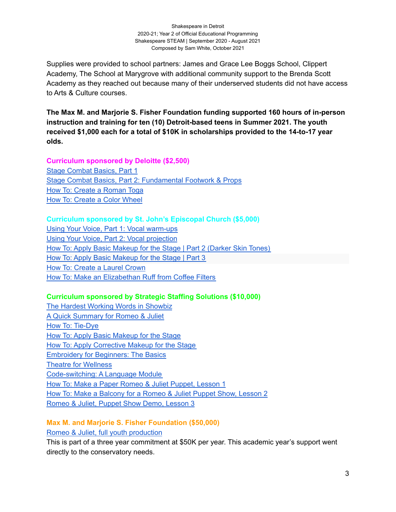### Shakespeare in Detroit 2020-21; Year 2 of Official Educational Programming Shakespeare STEAM | September 2020 - August 2021 Composed by Sam White, October 2021

Supplies were provided to school partners: James and Grace Lee Boggs School, Clippert Academy, The School at Marygrove with additional community support to the Brenda Scott Academy as they reached out because many of their underserved students did not have access to Arts & Culture courses.

**The Max M. and Marjorie S. Fisher Foundation funding supported 160 hours of in-person instruction and training for ten (10) Detroit-based teens in Summer 2021. The youth received \$1,000 each for a total of \$10K in scholarships provided to the 14-to-17 year olds.**

### **Curriculum sponsored by Deloitte (\$2,500)**

Stage [Combat](https://www.youtube.com/watch?v=LlQgIYZAHXM&t=1s) Basics, Part 1 Stage Combat Basics, Part 2: [Fundamental](https://www.youtube.com/watch?v=F80MldVIq8c&t=85s) Footwork & Props How To: Create a [Roman](https://www.youtube.com/watch?v=72Jm60vP_zY&t=90s) Toga How To: [Create](https://www.youtube.com/watch?v=hEWd7-xaSeI&t=11s) a Color Wheel

### **Curriculum sponsored by St. John's Episcopal Church (\$5,000)**

Using Your Voice, Part 1: Vocal [warm-ups](https://www.youtube.com/watch?v=vUHDofi5Fvg&t=36s) Using Your Voice, Part 2: Vocal [projection](https://www.youtube.com/watch?v=Kp_mp8ebFTk&t=60s) How To: Apply Basic [Makeup](https://www.youtube.com/watch?v=8hwvmuWbf1g&t=56s) for the Stage | Part 2 (Darker Skin Tones) How To: Apply Basic [Makeup](https://www.youtube.com/watch?v=CLjJFYiYSX0&t=29s) for the Stage | Part 3 How To: [Create](https://www.youtube.com/watch?v=rdDmRgQOCPA&t=104s) a Laurel Crown How To: Make an [Elizabethan](https://www.youtube.com/watch?v=mh9HKR1ftGc&t=134s) Ruff from Coffee Filters

### **Curriculum sponsored by Strategic Staffing Solutions (\$10,000)**

The Hardest Working Words in [Showbiz](https://www.youtube.com/watch?v=jyKpv0-OsLw&t=1s) A Quick [Summary](https://www.youtube.com/watch?v=BkZek-dd5Kg&t=45s) for Romeo & Juliet How To: [Tie-Dye](https://www.youtube.com/watch?v=7W0wg96Ahdo&t=671s) How To: Apply Basic [Makeup](https://www.youtube.com/watch?v=eC97ghjP9gA&t=60s) for the Stage How To: Apply [Corrective](https://www.youtube.com/watch?v=ev8bgluGZME&t=28s) Makeup for the Stage [Embroidery](https://www.youtube.com/watch?v=KwkjVDT6A9k&t=48s) for Beginners: The Basics Theatre for [Wellness](https://www.youtube.com/watch?v=xkZsmHobrcw&t=68s) [Code-switching:](https://www.youtube.com/watch?v=QyNG5f8Jegw&t=18s) A Language Module How To: Make a Paper Romeo & Juliet [Puppet,](https://www.youtube.com/watch?v=VESgQYi7t9Q&t=204s) Lesson 1 How To: Make a [Balcony](https://www.youtube.com/watch?v=u8t2y5SCezc&t=35s) for a Romeo & Juliet Puppet Show, Lesson 2 Romeo & Juliet, Puppet Show Demo, [Lesson](https://www.youtube.com/watch?v=He2tZI1rYTo&t=114s) 3

# **Max M. and Marjorie S. Fisher Foundation (\$50,000)**

Romeo & Juliet, full youth [production](https://www.youtube.com/watch?v=-Hvc_QCqXGY&t=4132s)

This is part of a three year commitment at \$50K per year. This academic year's support went directly to the conservatory needs.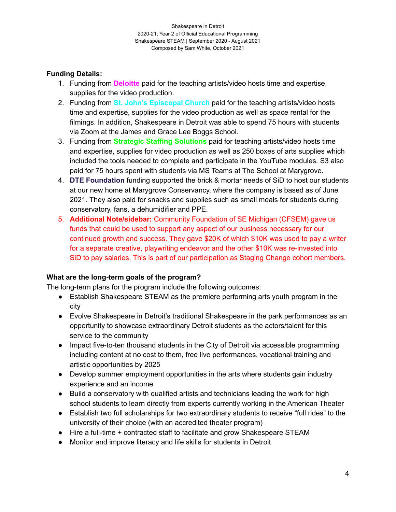### **Funding Details:**

- 1. Funding from **Deloitte** paid for the teaching artists/video hosts time and expertise, supplies for the video production.
- 2. Funding from **St. John's Episcopal Church** paid for the teaching artists/video hosts time and expertise, supplies for the video production as well as space rental for the filmings. In addition, Shakespeare in Detroit was able to spend 75 hours with students via Zoom at the James and Grace Lee Boggs School.
- 3. Funding from **Strategic Staffing Solutions** paid for teaching artists/video hosts time and expertise, supplies for video production as well as 250 boxes of arts supplies which included the tools needed to complete and participate in the YouTube modules. S3 also paid for 75 hours spent with students via MS Teams at The School at Marygrove.
- 4. **DTE Foundation** funding supported the brick & mortar needs of SiD to host our students at our new home at Marygrove Conservancy, where the company is based as of June 2021. They also paid for snacks and supplies such as small meals for students during conservatory, fans, a dehumidifier and PPE.
- 5. **Additional Note/sidebar:** Community Foundation of SE Michigan (CFSEM) gave us funds that could be used to support any aspect of our business necessary for our continued growth and success. They gave \$20K of which \$10K was used to pay a writer for a separate creative, playwriting endeavor and the other \$10K was re-invested into SiD to pay salaries. This is part of our participation as Staging Change cohort members.

### **What are the long-term goals of the program?**

The long-term plans for the program include the following outcomes:

- Establish Shakespeare STEAM as the premiere performing arts youth program in the city
- Evolve Shakespeare in Detroit's traditional Shakespeare in the park performances as an opportunity to showcase extraordinary Detroit students as the actors/talent for this service to the community
- Impact five-to-ten thousand students in the City of Detroit via accessible programming including content at no cost to them, free live performances, vocational training and artistic opportunities by 2025
- Develop summer employment opportunities in the arts where students gain industry experience and an income
- Build a conservatory with qualified artists and technicians leading the work for high school students to learn directly from experts currently working in the American Theater
- Establish two full scholarships for two extraordinary students to receive "full rides" to the university of their choice (with an accredited theater program)
- Hire a full-time + contracted staff to facilitate and grow Shakespeare STEAM
- Monitor and improve literacy and life skills for students in Detroit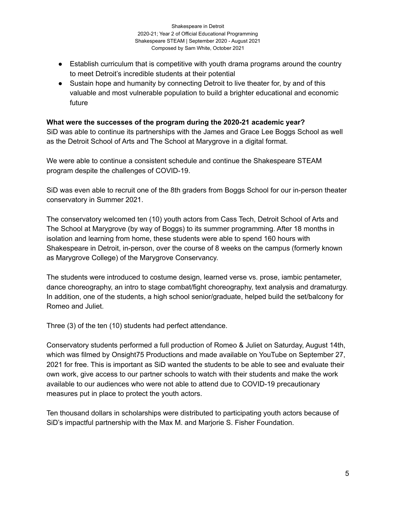- Establish curriculum that is competitive with youth drama programs around the country to meet Detroit's incredible students at their potential
- Sustain hope and humanity by connecting Detroit to live theater for, by and of this valuable and most vulnerable population to build a brighter educational and economic future

### **What were the successes of the program during the 2020-21 academic year?**

SiD was able to continue its partnerships with the James and Grace Lee Boggs School as well as the Detroit School of Arts and The School at Marygrove in a digital format.

We were able to continue a consistent schedule and continue the Shakespeare STEAM program despite the challenges of COVID-19.

SiD was even able to recruit one of the 8th graders from Boggs School for our in-person theater conservatory in Summer 2021.

The conservatory welcomed ten (10) youth actors from Cass Tech, Detroit School of Arts and The School at Marygrove (by way of Boggs) to its summer programming. After 18 months in isolation and learning from home, these students were able to spend 160 hours with Shakespeare in Detroit, in-person, over the course of 8 weeks on the campus (formerly known as Marygrove College) of the Marygrove Conservancy.

The students were introduced to costume design, learned verse vs. prose, iambic pentameter, dance choreography, an intro to stage combat/fight choreography, text analysis and dramaturgy. In addition, one of the students, a high school senior/graduate, helped build the set/balcony for Romeo and Juliet.

Three (3) of the ten (10) students had perfect attendance.

Conservatory students performed a full production of Romeo & Juliet on Saturday, August 14th, which was filmed by Onsight75 Productions and made available on YouTube on September 27, 2021 for free. This is important as SiD wanted the students to be able to see and evaluate their own work, give access to our partner schools to watch with their students and make the work available to our audiences who were not able to attend due to COVID-19 precautionary measures put in place to protect the youth actors.

Ten thousand dollars in scholarships were distributed to participating youth actors because of SiD's impactful partnership with the Max M. and Marjorie S. Fisher Foundation.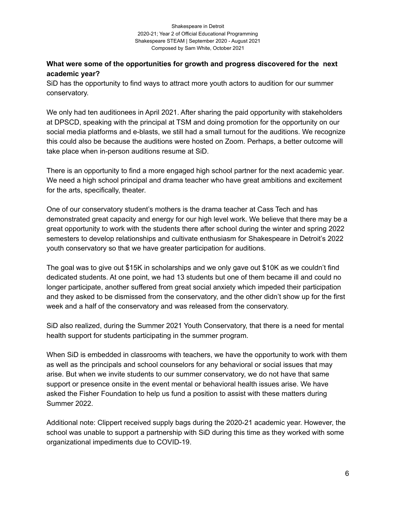### **What were some of the opportunities for growth and progress discovered for the next academic year?**

SiD has the opportunity to find ways to attract more youth actors to audition for our summer conservatory.

We only had ten auditionees in April 2021. After sharing the paid opportunity with stakeholders at DPSCD, speaking with the principal at TSM and doing promotion for the opportunity on our social media platforms and e-blasts, we still had a small turnout for the auditions. We recognize this could also be because the auditions were hosted on Zoom. Perhaps, a better outcome will take place when in-person auditions resume at SiD.

There is an opportunity to find a more engaged high school partner for the next academic year. We need a high school principal and drama teacher who have great ambitions and excitement for the arts, specifically, theater.

One of our conservatory student's mothers is the drama teacher at Cass Tech and has demonstrated great capacity and energy for our high level work. We believe that there may be a great opportunity to work with the students there after school during the winter and spring 2022 semesters to develop relationships and cultivate enthusiasm for Shakespeare in Detroit's 2022 youth conservatory so that we have greater participation for auditions.

The goal was to give out \$15K in scholarships and we only gave out \$10K as we couldn't find dedicated students. At one point, we had 13 students but one of them became ill and could no longer participate, another suffered from great social anxiety which impeded their participation and they asked to be dismissed from the conservatory, and the other didn't show up for the first week and a half of the conservatory and was released from the conservatory.

SiD also realized, during the Summer 2021 Youth Conservatory, that there is a need for mental health support for students participating in the summer program.

When SiD is embedded in classrooms with teachers, we have the opportunity to work with them as well as the principals and school counselors for any behavioral or social issues that may arise. But when we invite students to our summer conservatory, we do not have that same support or presence onsite in the event mental or behavioral health issues arise. We have asked the Fisher Foundation to help us fund a position to assist with these matters during Summer 2022.

Additional note: Clippert received supply bags during the 2020-21 academic year. However, the school was unable to support a partnership with SiD during this time as they worked with some organizational impediments due to COVID-19.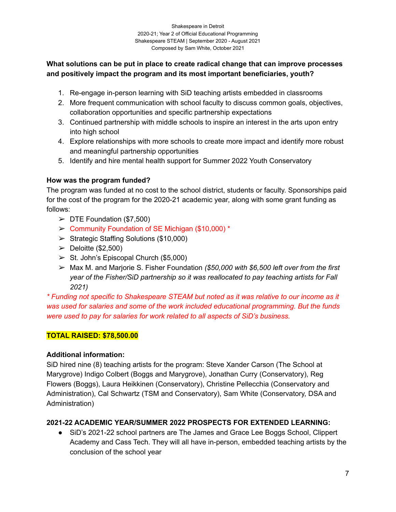### **What solutions can be put in place to create radical change that can improve processes and positively impact the program and its most important beneficiaries, youth?**

- 1. Re-engage in-person learning with SiD teaching artists embedded in classrooms
- 2. More frequent communication with school faculty to discuss common goals, objectives, collaboration opportunities and specific partnership expectations
- 3. Continued partnership with middle schools to inspire an interest in the arts upon entry into high school
- 4. Explore relationships with more schools to create more impact and identify more robust and meaningful partnership opportunities
- 5. Identify and hire mental health support for Summer 2022 Youth Conservatory

### **How was the program funded?**

The program was funded at no cost to the school district, students or faculty. Sponsorships paid for the cost of the program for the 2020-21 academic year, along with some grant funding as follows:

- $\triangleright$  DTE Foundation (\$7,500)
- ➢ Community Foundation of SE Michigan (\$10,000) \*
- $\triangleright$  Strategic Staffing Solutions (\$10,000)
- $\blacktriangleright$  Deloitte (\$2,500)
- $\triangleright$  St. John's Episcopal Church (\$5,000)
- ➢ Max M. and Marjorie S. Fisher Foundation *(\$50,000 with \$6,500 left over from the first year of the Fisher/SiD partnership so it was reallocated to pay teaching artists for Fall 2021)*

*\* Funding not specific to Shakespeare STEAM but noted as it was relative to our income as it was used for salaries and some of the work included educational programming. But the funds were used to pay for salaries for work related to all aspects of SiD's business.*

## **TOTAL RAISED: \$78,500.00**

### **Additional information:**

SiD hired nine (8) teaching artists for the program: Steve Xander Carson (The School at Marygrove) Indigo Colbert (Boggs and Marygrove), Jonathan Curry (Conservatory), Reg Flowers (Boggs), Laura Heikkinen (Conservatory), Christine Pellecchia (Conservatory and Administration), Cal Schwartz (TSM and Conservatory), Sam White (Conservatory, DSA and Administration)

## **2021-22 ACADEMIC YEAR/SUMMER 2022 PROSPECTS FOR EXTENDED LEARNING:**

● SiD's 2021-22 school partners are The James and Grace Lee Boggs School, Clippert Academy and Cass Tech. They will all have in-person, embedded teaching artists by the conclusion of the school year